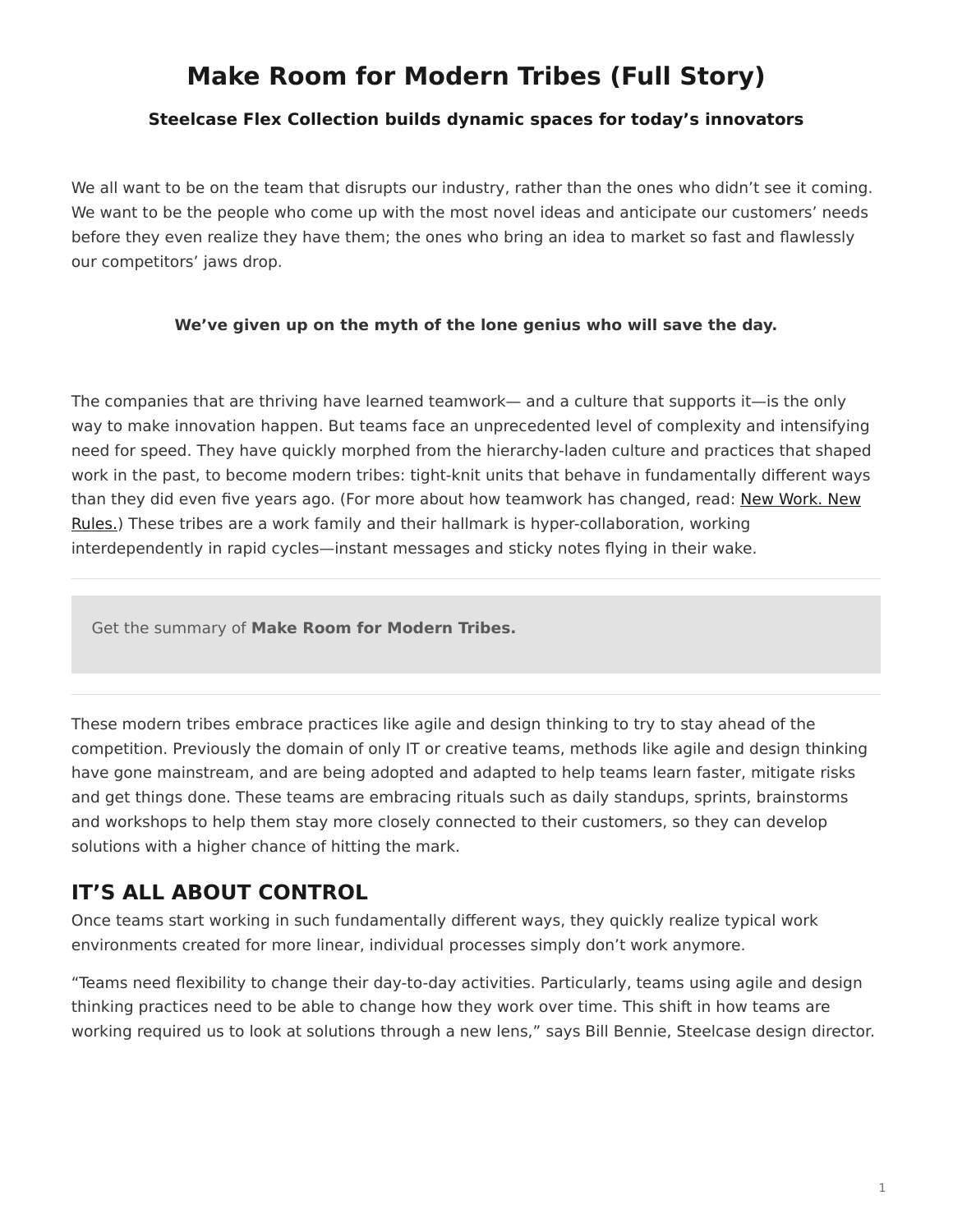# <span id="page-0-0"></span>**Make Room for Modern Tribes (Full Story)**

### **Steelcase Flex Collection builds dynamic spaces for today's innovators**

We all want to be on the team that disrupts our industry, rather than the ones who didn't see it coming. We want to be the people who come up with the most novel ideas and anticipate our customers' needs before they even realize they have them; the ones who bring an idea to market so fast and flawlessly our competitors' jaws drop.

#### **We've given up on the myth of the lone genius who will save the day.**

The companies that are thriving have learned teamwork— and a culture that supports it—is the only way to make innovation happen. But teams face an unprecedented level of complexity and intensifying need for speed. They have quickly morphed from the hierarchy-laden culture and practices that shaped work in the past, to become modern tribes: tight-knit units that behave in fundamentally different ways than they did even five years ago. (For more about how teamwork has changed, read: [New Work. New](https://www.steelcase.com/research/articles/new-work-new-rules/) [Rules.\)](https://www.steelcase.com/research/articles/new-work-new-rules/) These tribes are a work family and their hallmark is hyper-collaboration, working interdependently in rapid cycles—instant messages and sticky notes flying in their wake.

Get the summary of **Make Room for Modern Tribes.**

These modern tribes embrace practices like agile and design thinking to try to stay ahead of the competition. Previously the domain of only IT or creative teams, methods like agile and design thinking have gone mainstream, and are being adopted and adapted to help teams learn faster, mitigate risks and get things done. These teams are embracing rituals such as daily standups, sprints, brainstorms and workshops to help them stay more closely connected to their customers, so they can develop solutions with a higher chance of hitting the mark.

## **IT'S ALL ABOUT CONTROL**

Once teams start working in such fundamentally different ways, they quickly realize typical work environments created for more linear, individual processes simply don't work anymore.

"Teams need flexibility to change their day-to-day activities. Particularly, teams using agile and design thinking practices need to be able to change how they work over time. This shift in how teams are working required us to look at solutions through a new lens," says Bill Bennie, Steelcase design director.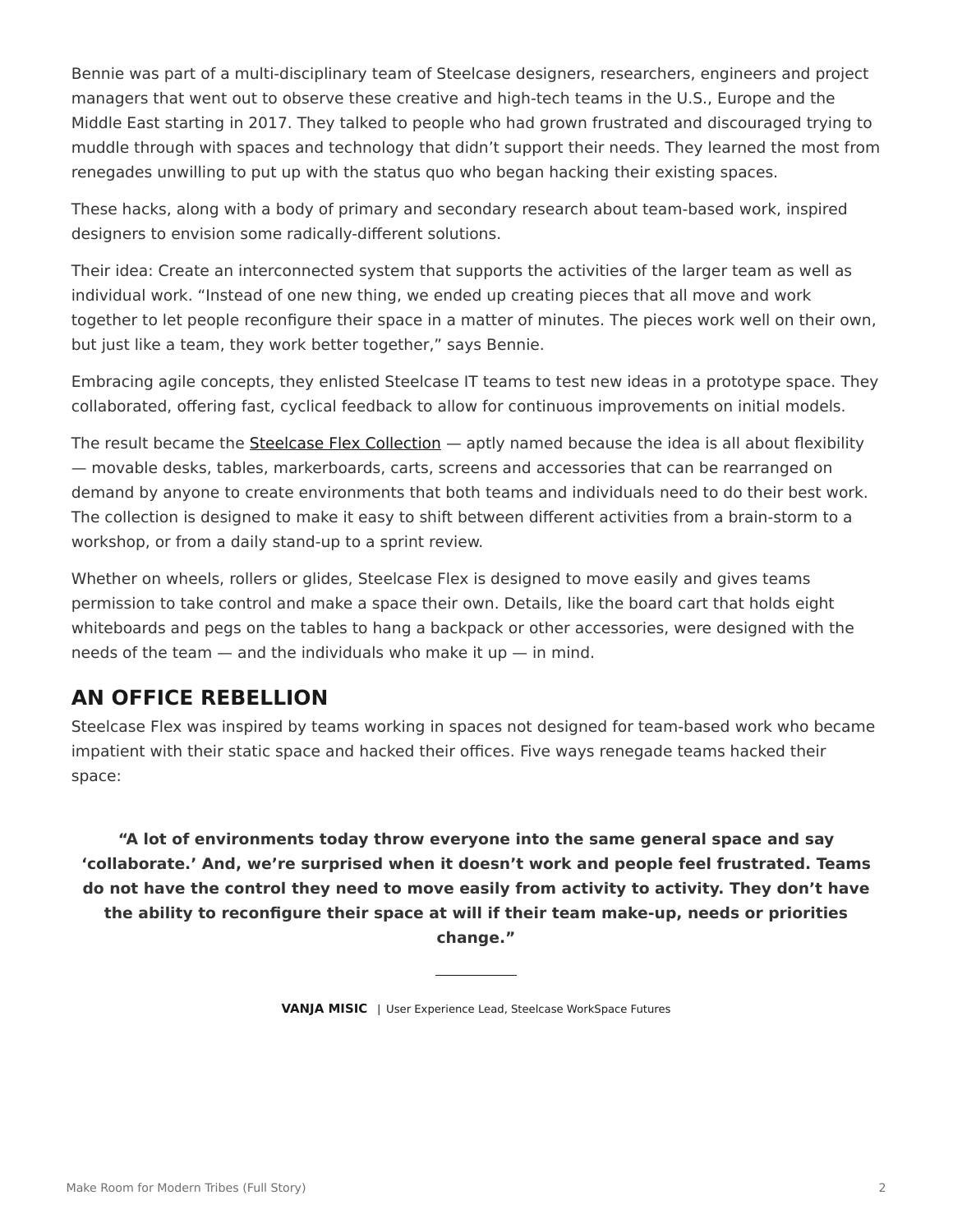Bennie was part of a multi-disciplinary team of Steelcase designers, researchers, engineers and project managers that went out to observe these creative and high-tech teams in the U.S., Europe and the Middle East starting in 2017. They talked to people who had grown frustrated and discouraged trying to muddle through with spaces and technology that didn't support their needs. They learned the most from renegades unwilling to put up with the status quo who began hacking their existing spaces.

These hacks, along with a body of primary and secondary research about team-based work, inspired designers to envision some radically-different solutions.

Their idea: Create an interconnected system that supports the activities of the larger team as well as individual work. "Instead of one new thing, we ended up creating pieces that all move and work together to let people reconfigure their space in a matter of minutes. The pieces work well on their own, but just like a team, they work better together," says Bennie.

Embracing agile concepts, they enlisted Steelcase IT teams to test new ideas in a prototype space. They collaborated, offering fast, cyclical feedback to allow for continuous improvements on initial models.

The result became the [Steelcase Flex Collection](http://www.steelcase.com/flex) - aptly named because the idea is all about flexibility — movable desks, tables, markerboards, carts, screens and accessories that can be rearranged on demand by anyone to create environments that both teams and individuals need to do their best work. The collection is designed to make it easy to shift between different activities from a brain-storm to a workshop, or from a daily stand-up to a sprint review.

Whether on wheels, rollers or glides, Steelcase Flex is designed to move easily and gives teams permission to take control and make a space their own. Details, like the board cart that holds eight whiteboards and pegs on the tables to hang a backpack or other accessories, were designed with the needs of the team  $-$  and the individuals who make it up  $-$  in mind.

## **AN OFFICE REBELLION**

Steelcase Flex was inspired by teams working in spaces not designed for team-based work who became impatient with their static space and hacked their offices. Five ways renegade teams hacked their space:

**"A lot of environments today throw everyone into the same general space and say 'collaborate.' And, we're surprised when it doesn't work and people feel frustrated. Teams do not have the control they need to move easily from activity to activity. They don't have the ability to reconfigure their space at will if their team make-up, needs or priorities change."**

**VANJA MISIC** | User Experience Lead, Steelcase WorkSpace Futures